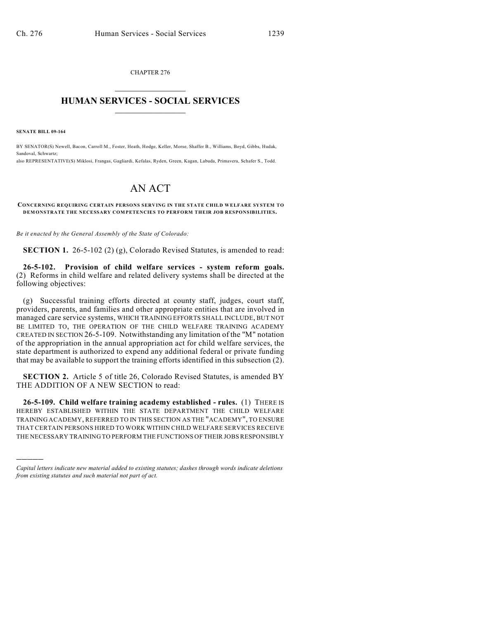CHAPTER 276  $\overline{\phantom{a}}$  . The set of the set of the set of the set of the set of the set of the set of the set of the set of the set of the set of the set of the set of the set of the set of the set of the set of the set of the set o

## **HUMAN SERVICES - SOCIAL SERVICES**  $\frac{1}{2}$  ,  $\frac{1}{2}$  ,  $\frac{1}{2}$  ,  $\frac{1}{2}$  ,  $\frac{1}{2}$  ,  $\frac{1}{2}$  ,  $\frac{1}{2}$

**SENATE BILL 09-164**

)))))

BY SENATOR(S) Newell, Bacon, Carroll M., Foster, Heath, Hodge, Keller, Morse, Shaffer B., Williams, Boyd, Gibbs, Hudak, Sandoval, Schwartz; also REPRESENTATIVE(S) Miklosi, Frangas, Gagliardi, Kefalas, Ryden, Green, Kagan, Labuda, Primavera, Schafer S., Todd.

## AN ACT

## **CONCERNING REQUIRING CERTAIN PERSONS SERVING IN THE STATE CHILD WELFARE SYSTEM TO DEMONSTRATE THE NECESSARY COMPETENCIES TO PERFORM THEIR JOB RESPONSIBILITIES.**

*Be it enacted by the General Assembly of the State of Colorado:*

**SECTION 1.** 26-5-102 (2) (g), Colorado Revised Statutes, is amended to read:

**26-5-102. Provision of child welfare services - system reform goals.** (2) Reforms in child welfare and related delivery systems shall be directed at the following objectives:

(g) Successful training efforts directed at county staff, judges, court staff, providers, parents, and families and other appropriate entities that are involved in managed care service systems, WHICH TRAINING EFFORTS SHALL INCLUDE, BUT NOT BE LIMITED TO, THE OPERATION OF THE CHILD WELFARE TRAINING ACADEMY CREATED IN SECTION 26-5-109. Notwithstanding any limitation of the "M" notation of the appropriation in the annual appropriation act for child welfare services, the state department is authorized to expend any additional federal or private funding that may be available to support the training efforts identified in this subsection (2).

**SECTION 2.** Article 5 of title 26, Colorado Revised Statutes, is amended BY THE ADDITION OF A NEW SECTION to read:

**26-5-109. Child welfare training academy established - rules.** (1) THERE IS HEREBY ESTABLISHED WITHIN THE STATE DEPARTMENT THE CHILD WELFARE TRAINING ACADEMY, REFERRED TO IN THIS SECTION AS THE "ACADEMY", TO ENSURE THAT CERTAIN PERSONS HIRED TO WORK WITHIN CHILD WELFARE SERVICES RECEIVE THE NECESSARY TRAINING TO PERFORM THE FUNCTIONS OF THEIR JOBS RESPONSIBLY

*Capital letters indicate new material added to existing statutes; dashes through words indicate deletions from existing statutes and such material not part of act.*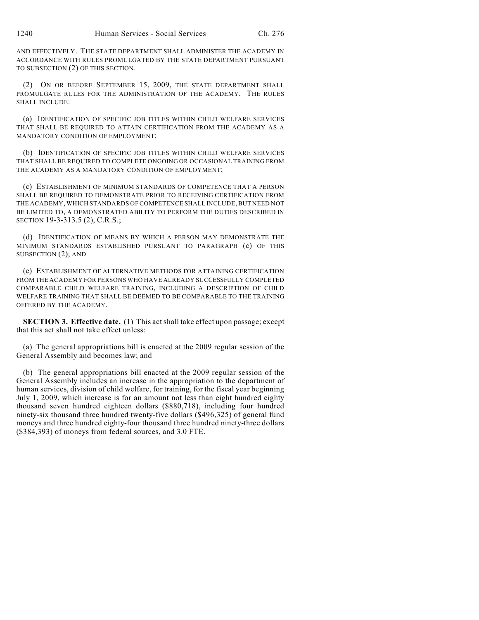AND EFFECTIVELY. THE STATE DEPARTMENT SHALL ADMINISTER THE ACADEMY IN ACCORDANCE WITH RULES PROMULGATED BY THE STATE DEPARTMENT PURSUANT TO SUBSECTION (2) OF THIS SECTION.

(2) ON OR BEFORE SEPTEMBER 15, 2009, THE STATE DEPARTMENT SHALL PROMULGATE RULES FOR THE ADMINISTRATION OF THE ACADEMY. THE RULES SHALL INCLUDE:

(a) IDENTIFICATION OF SPECIFIC JOB TITLES WITHIN CHILD WELFARE SERVICES THAT SHALL BE REQUIRED TO ATTAIN CERTIFICATION FROM THE ACADEMY AS A MANDATORY CONDITION OF EMPLOYMENT;

(b) IDENTIFICATION OF SPECIFIC JOB TITLES WITHIN CHILD WELFARE SERVICES THAT SHALL BE REQUIRED TO COMPLETE ONGOING OR OCCASIONAL TRAINING FROM THE ACADEMY AS A MANDATORY CONDITION OF EMPLOYMENT;

(c) ESTABLISHMENT OF MINIMUM STANDARDS OF COMPETENCE THAT A PERSON SHALL BE REQUIRED TO DEMONSTRATE PRIOR TO RECEIVING CERTIFICATION FROM THE ACADEMY, WHICH STANDARDS OFCOMPETENCE SHALL INCLUDE, BUT NEED NOT BE LIMITED TO, A DEMONSTRATED ABILITY TO PERFORM THE DUTIES DESCRIBED IN SECTION 19-3-313.5 (2), C.R.S.;

(d) IDENTIFICATION OF MEANS BY WHICH A PERSON MAY DEMONSTRATE THE MINIMUM STANDARDS ESTABLISHED PURSUANT TO PARAGRAPH (c) OF THIS SUBSECTION (2); AND

(e) ESTABLISHMENT OF ALTERNATIVE METHODS FOR ATTAINING CERTIFICATION FROM THE ACADEMY FOR PERSONS WHO HAVE ALREADY SUCCESSFULLY COMPLETED COMPARABLE CHILD WELFARE TRAINING, INCLUDING A DESCRIPTION OF CHILD WELFARE TRAINING THAT SHALL BE DEEMED TO BE COMPARABLE TO THE TRAINING OFFERED BY THE ACADEMY.

**SECTION 3. Effective date.** (1) This act shall take effect upon passage; except that this act shall not take effect unless:

(a) The general appropriations bill is enacted at the 2009 regular session of the General Assembly and becomes law; and

(b) The general appropriations bill enacted at the 2009 regular session of the General Assembly includes an increase in the appropriation to the department of human services, division of child welfare, for training, for the fiscal year beginning July 1, 2009, which increase is for an amount not less than eight hundred eighty thousand seven hundred eighteen dollars (\$880,718), including four hundred ninety-six thousand three hundred twenty-five dollars (\$496,325) of general fund moneys and three hundred eighty-four thousand three hundred ninety-three dollars (\$384,393) of moneys from federal sources, and 3.0 FTE.